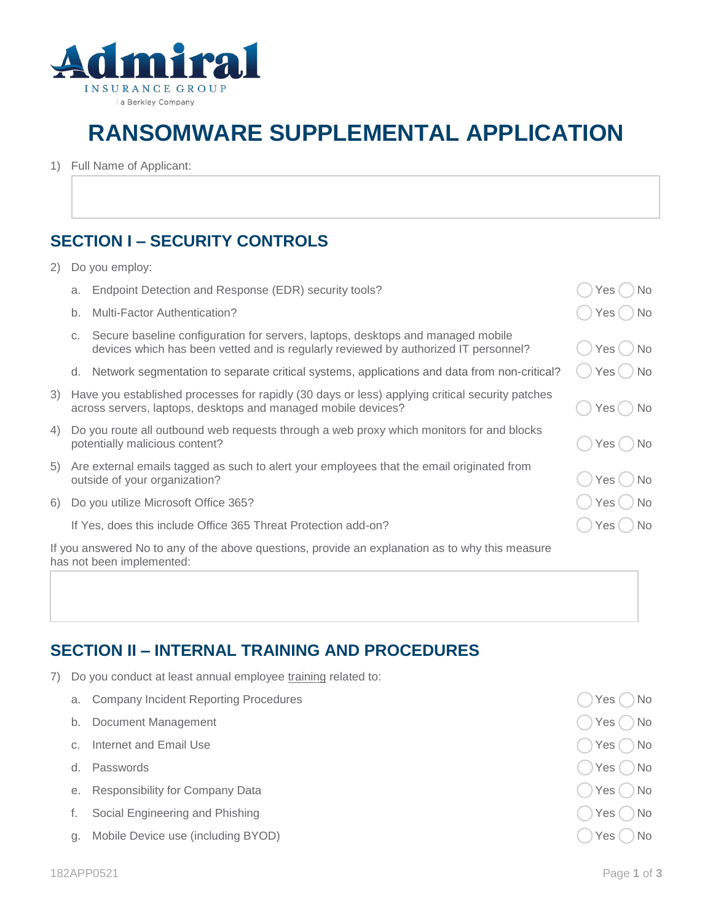

## **RANSOMWARE SUPPLEMENTAL APPLICATION**

1) Full Name of Applicant:

## **SECTION I – SECURITY CONTROLS**

2) Do you employ:

|  | a. Endpoint Detection and Response (EDR) security tools? |  | $\bigcirc$ Yes $\bigcirc$ No |  |  |
|--|----------------------------------------------------------|--|------------------------------|--|--|
|--|----------------------------------------------------------|--|------------------------------|--|--|

- b. Multi-Factor Authentication? The Contraction of the Contraction of the Contraction of the Contraction of the Contraction of the Contraction of the Contraction of the Contraction of the Contraction of the Contraction of
- c. Secure baseline configuration for servers, laptops, desktops and managed mobile devices which has been vetted and is regularly reviewed by authorized IT personnel?  $\langle$   $\rangle$  Yes  $\langle$   $\rangle$  No
- d. Network segmentation to separate critical systems, applications and data from non-critical?  $\bigcirc$  Yes  $\bigcirc$  No
- 3) Have you established processes for rapidly (30 days or less) applying critical security patches across servers, laptops, desktops and managed mobile devices?  $\Box$  Yes  $\Box$  Yes  $\Box$  No
- 4) Do you route all outbound web requests through a web proxy which monitors for and blocks potentially malicious content? The Content of the Content of the Content of the Content of the Content of the Content of the Content of the Content of the Content of the Content of the Content of the Content of the Content
- 5) Are external emails tagged as such to alert your employees that the email originated from outside of your organization? The set of your organization?
- 6) Do you utilize Microsoft Office 365? Yes No when the state of the state of the No Yes ( ) No Yes ( ) No

If Yes, does this include Office 365 Threat Protection add-on?  $($ ) Yes  $($ ) No

If you answered No to any of the above questions, provide an explanation as to why this measure has not been implemented:

## **SECTION II – INTERNAL TRAINING AND PROCEDURES**

- 7) Do you conduct at least annual employee training related to:
	- a. Company Incident Reporting Procedures Yes No. 2016. The Second Library Company Incident Reporting Procedures
	- b. Document Management Yes No Note that the United States of the United States of the Vessel No. 1996. The Vessel No
	- c. Internet and Email Use  $\bigcap$  Yes  $\bigcap$  Yes  $\bigcap$  No
	-
	- e. Responsibility for Company Data Yes No
	- f. Social Engineering and Phishing Yes No and The Social Engineering and Phishing Yes No All Albert Street And The Social Albert Street And The Social Albert Street And The Social Albert Street And The Social Albert Street
	- g. Mobile Device use (including BYOD)  $\bigcirc$  No and the set of the set of the set of the set of the set of the set of the set of the set of the set of the set of the set of the set of the set of the set of the set of the se

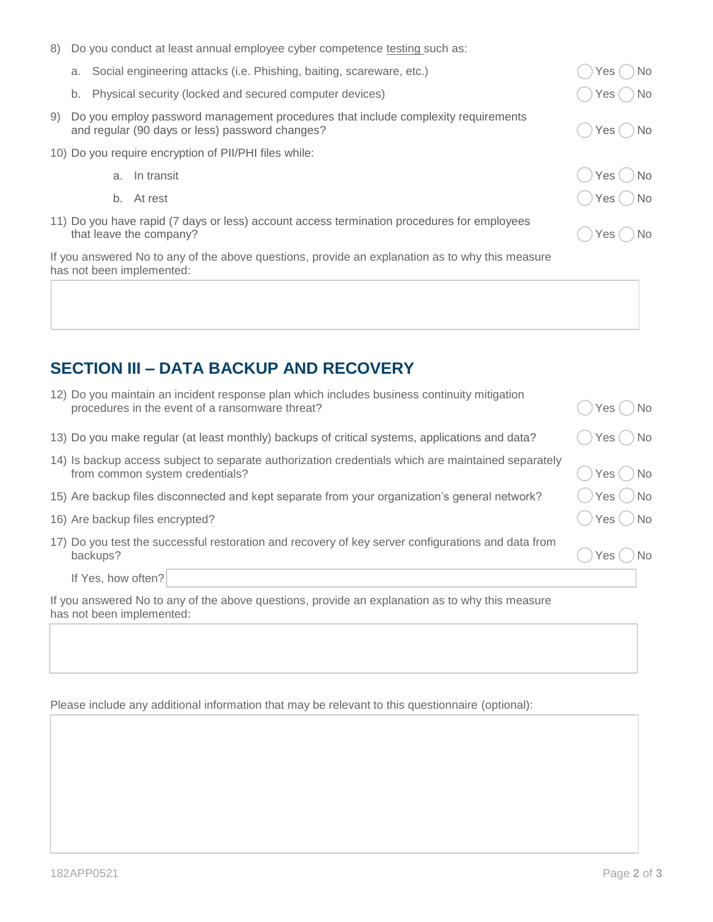| 8)                                                                                                                           |               |    | Do you conduct at least annual employee cyber competence testing such as:                                                            |               |  |  |  |  |
|------------------------------------------------------------------------------------------------------------------------------|---------------|----|--------------------------------------------------------------------------------------------------------------------------------------|---------------|--|--|--|--|
|                                                                                                                              |               |    | a. Social engineering attacks (i.e. Phishing, baiting, scareware, etc.)                                                              | No<br>Yes (   |  |  |  |  |
|                                                                                                                              | b.            |    | Physical security (locked and secured computer devices)                                                                              | No.<br>Yes( ) |  |  |  |  |
| 9)                                                                                                                           |               |    | Do you employ password management procedures that include complexity requirements<br>and regular (90 days or less) password changes? | Yes()No       |  |  |  |  |
| 10) Do you require encryption of PII/PHI files while:                                                                        |               |    |                                                                                                                                      |               |  |  |  |  |
|                                                                                                                              |               | a. | In transit                                                                                                                           | Yes()No       |  |  |  |  |
|                                                                                                                              |               | b. | At rest                                                                                                                              | Yes ( ) No    |  |  |  |  |
| 11) Do you have rapid (7 days or less) account access termination procedures for employees                                   | No.<br>Yes( ) |    |                                                                                                                                      |               |  |  |  |  |
| If you answered No to any of the above questions, provide an explanation as to why this measure<br>has not been implemented: |               |    |                                                                                                                                      |               |  |  |  |  |

## **SECTION III – DATA BACKUP AND RECOVERY**

| 12) Do you maintain an incident response plan which includes business continuity mitigation<br>procedures in the event of a ransomware threat? | Yes ( ) No    |  |  |  |  |  |
|------------------------------------------------------------------------------------------------------------------------------------------------|---------------|--|--|--|--|--|
| 13) Do you make regular (at least monthly) backups of critical systems, applications and data?                                                 | Yes()No       |  |  |  |  |  |
| 14) Is backup access subject to separate authorization credentials which are maintained separately<br>from common system credentials?          | $Yes$ $No$    |  |  |  |  |  |
| 15) Are backup files disconnected and kept separate from your organization's general network?                                                  | ◯ Yes ◯ No    |  |  |  |  |  |
| 16) Are backup files encrypted?                                                                                                                | Yes () No     |  |  |  |  |  |
| 17) Do you test the successful restoration and recovery of key server configurations and data from<br>backups?                                 | No.<br>Yes (C |  |  |  |  |  |
| If Yes, how often?                                                                                                                             |               |  |  |  |  |  |
| If you apowered No to ony of the above questions, provide an evalenction as to why this measure                                                |               |  |  |  |  |  |

If you answered No to any of the above questions, provide an explanation as to why this measure has not been implemented:

Please include any additional information that may be relevant to this questionnaire (optional):